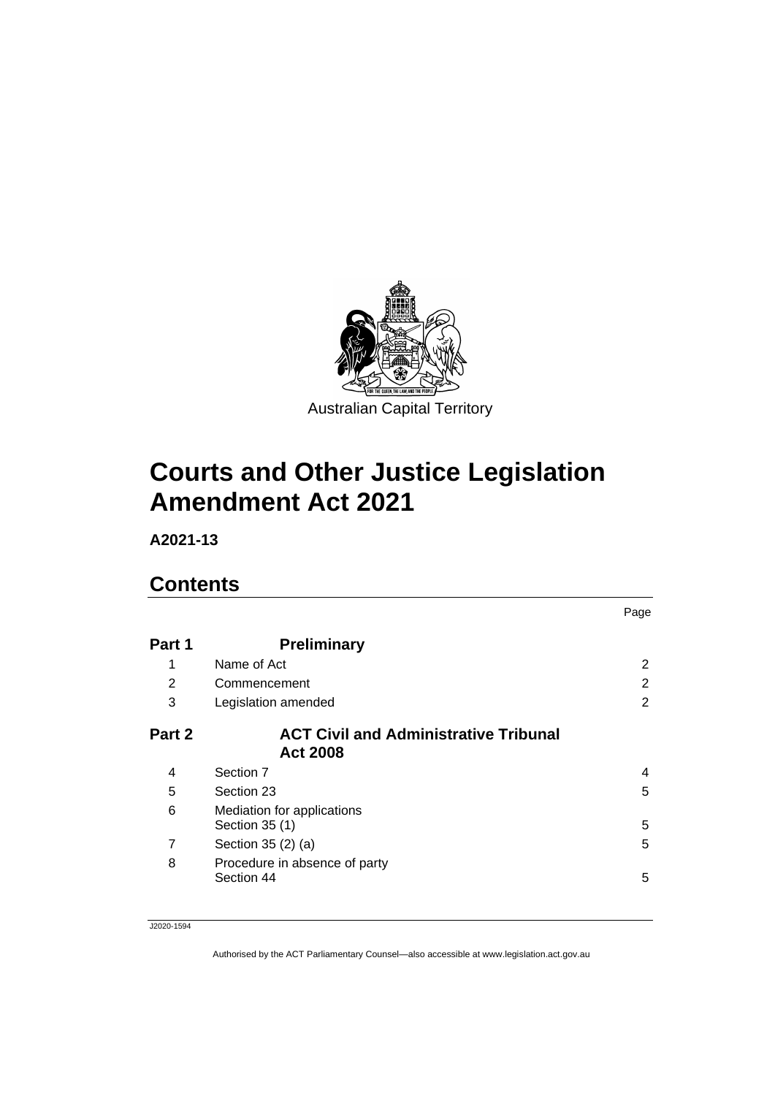

# **Courts and Other Justice Legislation Amendment Act 2021**

**A2021-13**

# **Contents**

|        |                                                                 | Page           |
|--------|-----------------------------------------------------------------|----------------|
| Part 1 | <b>Preliminary</b>                                              |                |
| 1      | Name of Act                                                     | 2              |
| 2      | Commencement                                                    | 2              |
| 3      | Legislation amended                                             | $\overline{2}$ |
| Part 2 | <b>ACT Civil and Administrative Tribunal</b><br><b>Act 2008</b> |                |
| 4      | Section 7                                                       | 4              |
| 5      | Section 23                                                      | 5              |
| 6      | Mediation for applications<br>Section 35 (1)                    | 5              |
| 7      | Section 35 (2) (a)                                              | 5              |
| 8      | Procedure in absence of party<br>Section 44                     | 5              |

J2020-1594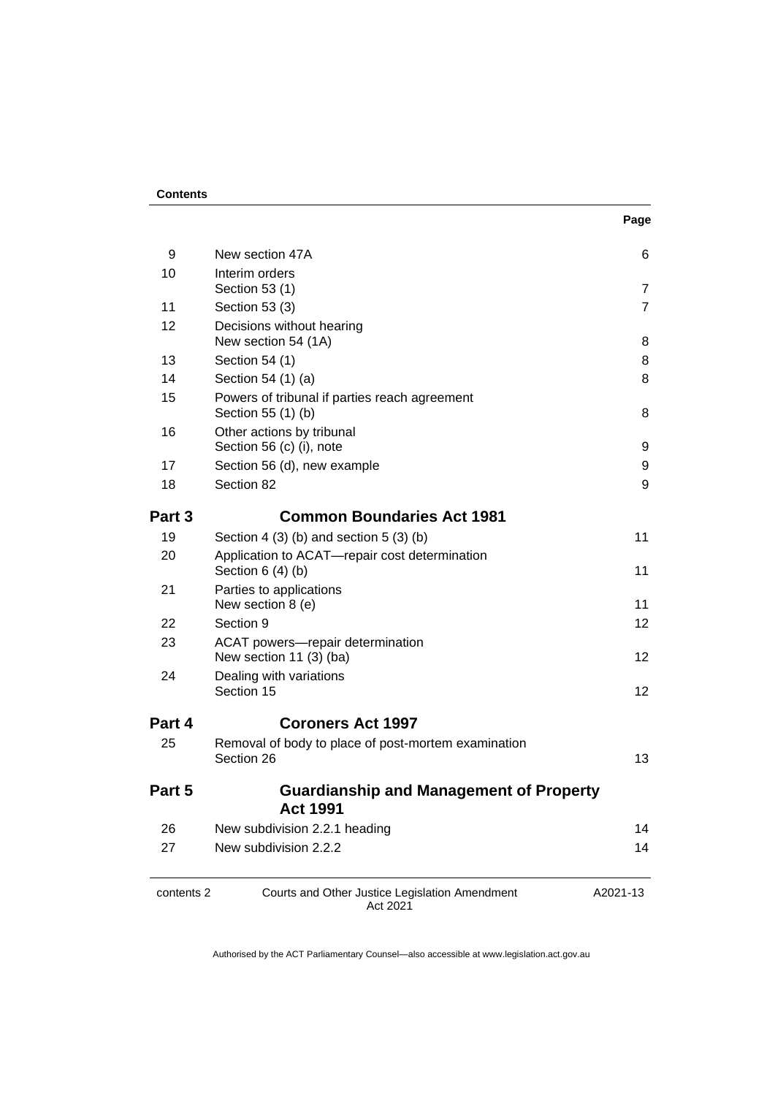#### **Contents**

| 9          | New section 47A                                                     | 6              |  |
|------------|---------------------------------------------------------------------|----------------|--|
| 10         | Interim orders<br>Section 53 (1)                                    | $\overline{7}$ |  |
| 11         | Section 53 (3)                                                      | $\overline{7}$ |  |
| 12         | Decisions without hearing<br>New section 54 (1A)                    | 8              |  |
| 13         | Section 54 (1)                                                      | 8              |  |
| 14         | Section 54 (1) (a)                                                  | 8              |  |
| 15         | Powers of tribunal if parties reach agreement<br>Section 55 (1) (b) | 8              |  |
| 16         | Other actions by tribunal<br>Section 56 (c) (i), note               | 9              |  |
| 17         | Section 56 (d), new example                                         | 9              |  |
| 18         | Section 82                                                          | 9              |  |
| Part 3     | <b>Common Boundaries Act 1981</b>                                   |                |  |
| 19         | Section 4 (3) (b) and section 5 (3) (b)                             | 11             |  |
| 20         | Application to ACAT-repair cost determination<br>Section $6(4)(b)$  | 11             |  |
| 21         | Parties to applications<br>New section 8 (e)                        | 11             |  |
| 22         | Section 9                                                           | 12             |  |
| 23         | ACAT powers-repair determination<br>New section 11 (3) (ba)         | 12             |  |
| 24         | Dealing with variations<br>Section 15                               | 12             |  |
| Part 4     | <b>Coroners Act 1997</b>                                            |                |  |
| 25         | Removal of body to place of post-mortem examination<br>Section 26   | 13             |  |
| Part 5     | <b>Guardianship and Management of Property</b><br><b>Act 1991</b>   |                |  |
| 26         | New subdivision 2.2.1 heading                                       | 14             |  |
| 27         | New subdivision 2.2.2                                               | 14             |  |
| contents 2 | Courts and Other Justice Legislation Amendment<br>Act 2021          | A2021-13       |  |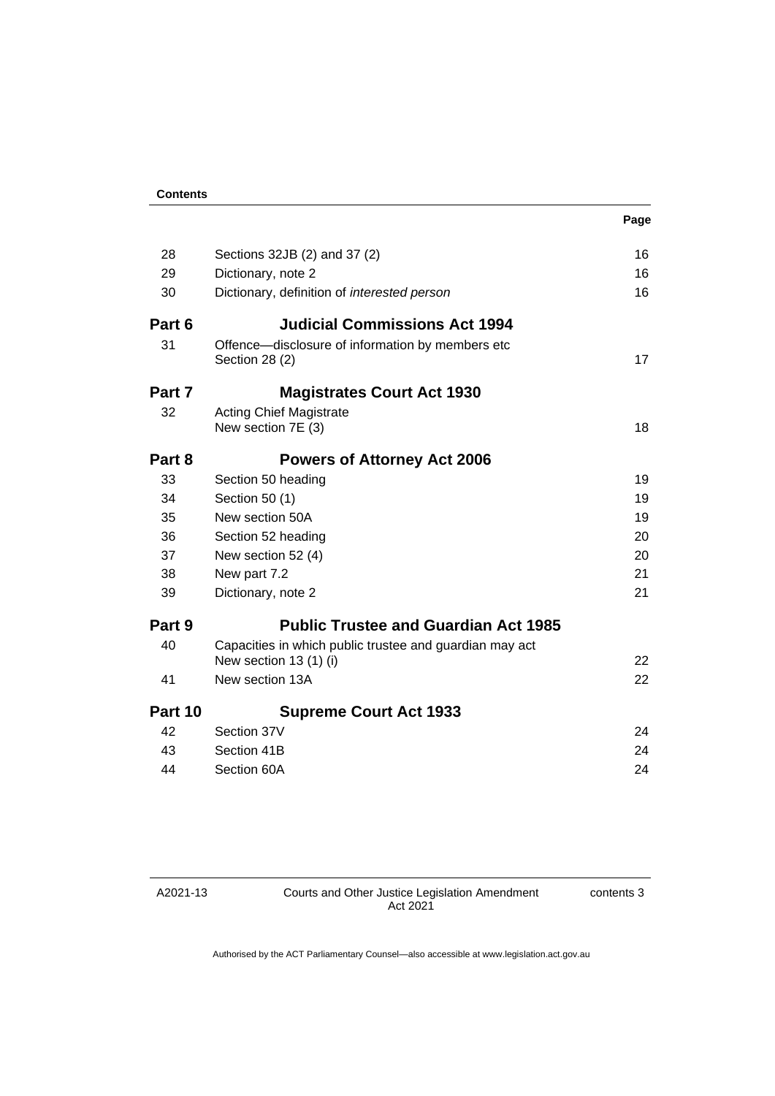|  | . . | ×<br>۰, |
|--|-----|---------|

| 28      | Sections 32JB (2) and 37 (2)                                       | 16 |
|---------|--------------------------------------------------------------------|----|
| 29      | Dictionary, note 2                                                 | 16 |
| 30      | Dictionary, definition of <i>interested person</i>                 | 16 |
| Part 6  | <b>Judicial Commissions Act 1994</b>                               |    |
| 31      | Offence-disclosure of information by members etc<br>Section 28 (2) | 17 |
| Part 7  | <b>Magistrates Court Act 1930</b>                                  |    |
| 32      | <b>Acting Chief Magistrate</b>                                     |    |
|         | New section 7E (3)                                                 | 18 |
| Part 8  | <b>Powers of Attorney Act 2006</b>                                 |    |
| 33      | Section 50 heading                                                 | 19 |
| 34      | Section 50 (1)                                                     | 19 |
| 35      | New section 50A                                                    | 19 |
| 36      | Section 52 heading                                                 | 20 |
| 37      | New section 52 (4)                                                 | 20 |
| 38      | New part 7.2                                                       | 21 |
| 39      | Dictionary, note 2                                                 | 21 |
| Part 9  | <b>Public Trustee and Guardian Act 1985</b>                        |    |
| 40      | Capacities in which public trustee and guardian may act            |    |
|         | New section 13 (1) (i)                                             | 22 |
| 41      | New section 13A                                                    | 22 |
| Part 10 | <b>Supreme Court Act 1933</b>                                      |    |
| 42      | Section 37V                                                        | 24 |
| 43      | Section 41B                                                        | 24 |
| 44      | Section 60A                                                        | 24 |

# A2021-13

Courts and Other Justice Legislation Amendment Act 2021

contents 3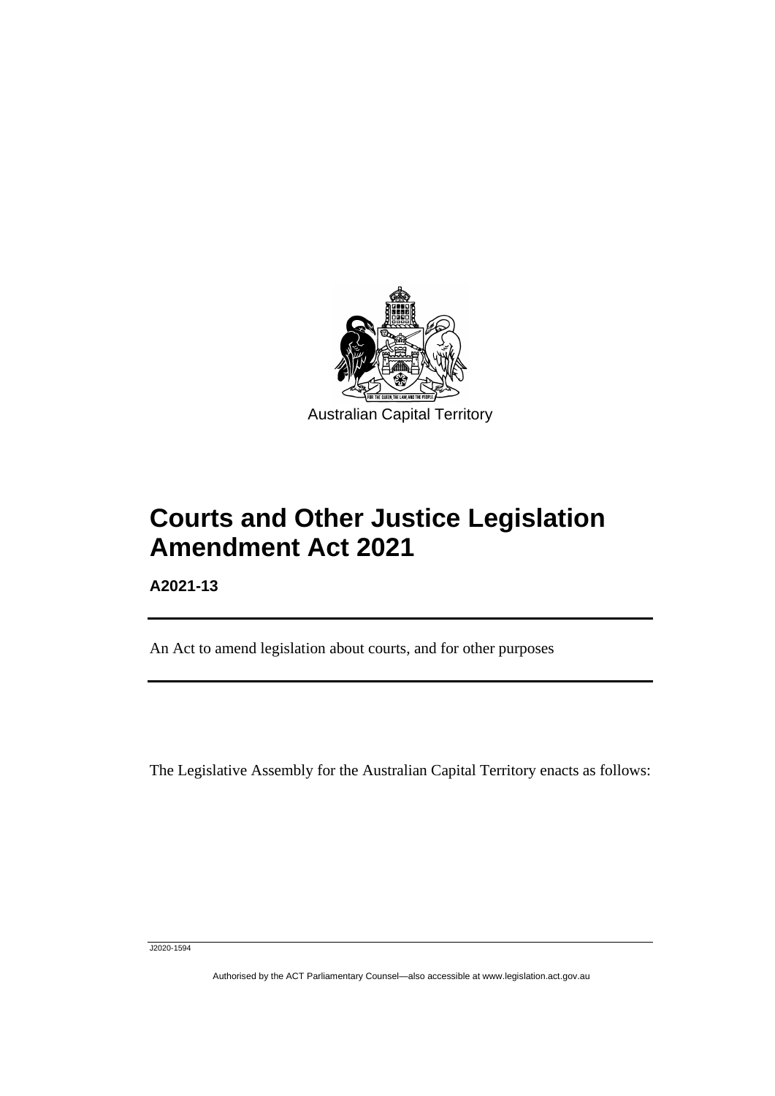

# **Courts and Other Justice Legislation Amendment Act 2021**

**A2021-13**

ֺֺׅ֚֡֡֬

An Act to amend legislation about courts, and for other purposes

The Legislative Assembly for the Australian Capital Territory enacts as follows:

J2020-1594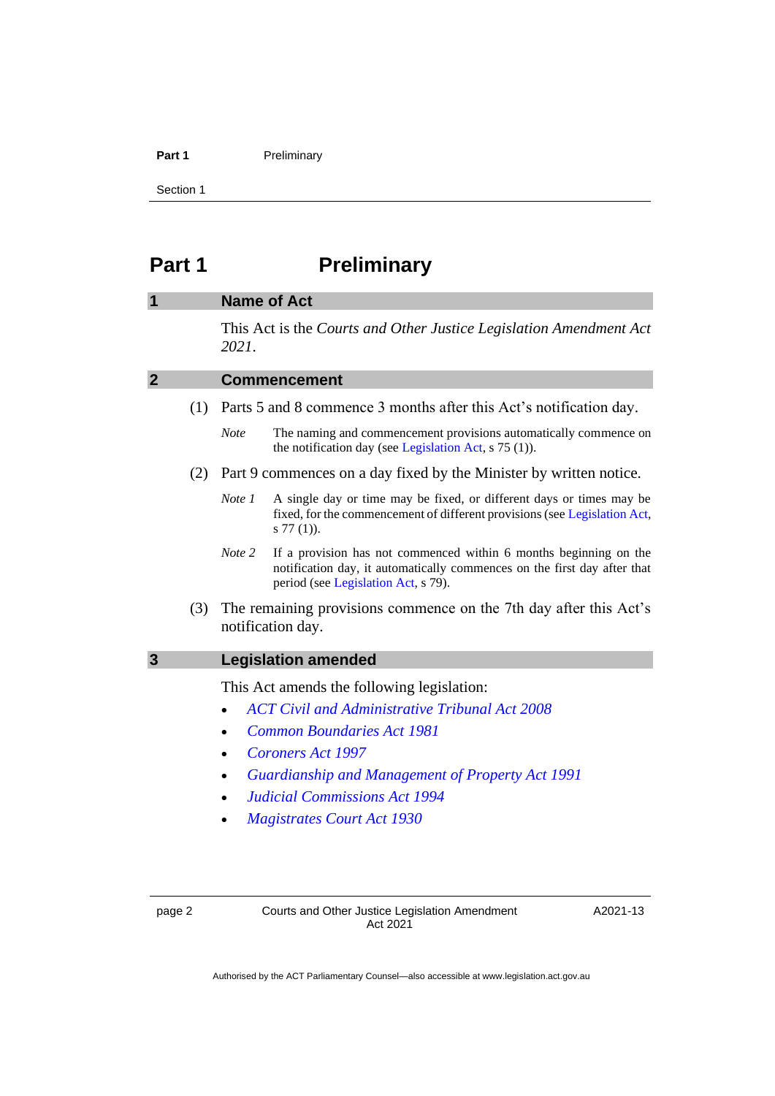#### Part 1 **Preliminary**

Section 1

# <span id="page-5-0"></span>**Part 1 Preliminary**

# <span id="page-5-1"></span>**1 Name of Act**

This Act is the *Courts and Other Justice Legislation Amendment Act 2021*.

<span id="page-5-2"></span>

| $\overline{2}$ |     | <b>Commencement</b>                                                |                                                                                                                                                                                      |  |
|----------------|-----|--------------------------------------------------------------------|--------------------------------------------------------------------------------------------------------------------------------------------------------------------------------------|--|
|                | (1) | Parts 5 and 8 commence 3 months after this Act's notification day. |                                                                                                                                                                                      |  |
|                |     | <b>Note</b>                                                        | The naming and commencement provisions automatically commence on<br>the notification day (see Legislation Act, $s$ 75 (1)).                                                          |  |
|                | (2) |                                                                    | Part 9 commences on a day fixed by the Minister by written notice.                                                                                                                   |  |
|                |     | Note 1                                                             | A single day or time may be fixed, or different days or times may be<br>fixed, for the commencement of different provisions (see Legislation Act,<br>$s 77(1)$ ).                    |  |
|                |     | Note 2                                                             | If a provision has not commenced within 6 months beginning on the<br>notification day, it automatically commences on the first day after that<br>period (see Legislation Act, s 79). |  |
|                | (3) |                                                                    | The remaining provisions commence on the 7th day after this Act's<br>notification day.                                                                                               |  |
| 3              |     | <b>Legislation amended</b>                                         |                                                                                                                                                                                      |  |
|                |     |                                                                    | This Act amends the following legislation:                                                                                                                                           |  |
|                |     |                                                                    | <b>ACT Civil and Administrative Tribunal Act 2008</b>                                                                                                                                |  |
|                |     |                                                                    | <b>Common Boundaries Act 1981</b>                                                                                                                                                    |  |
|                |     | $\bullet$                                                          | Coroners Act 1997                                                                                                                                                                    |  |
|                |     | $\bullet$                                                          | <b>Guardianship and Management of Property Act 1991</b>                                                                                                                              |  |
|                |     |                                                                    | <b>Judicial Commissions Act 1994</b>                                                                                                                                                 |  |
|                |     |                                                                    |                                                                                                                                                                                      |  |

<span id="page-5-3"></span>• *[Magistrates Court Act 1930](http://www.legislation.act.gov.au/a/1930-21)*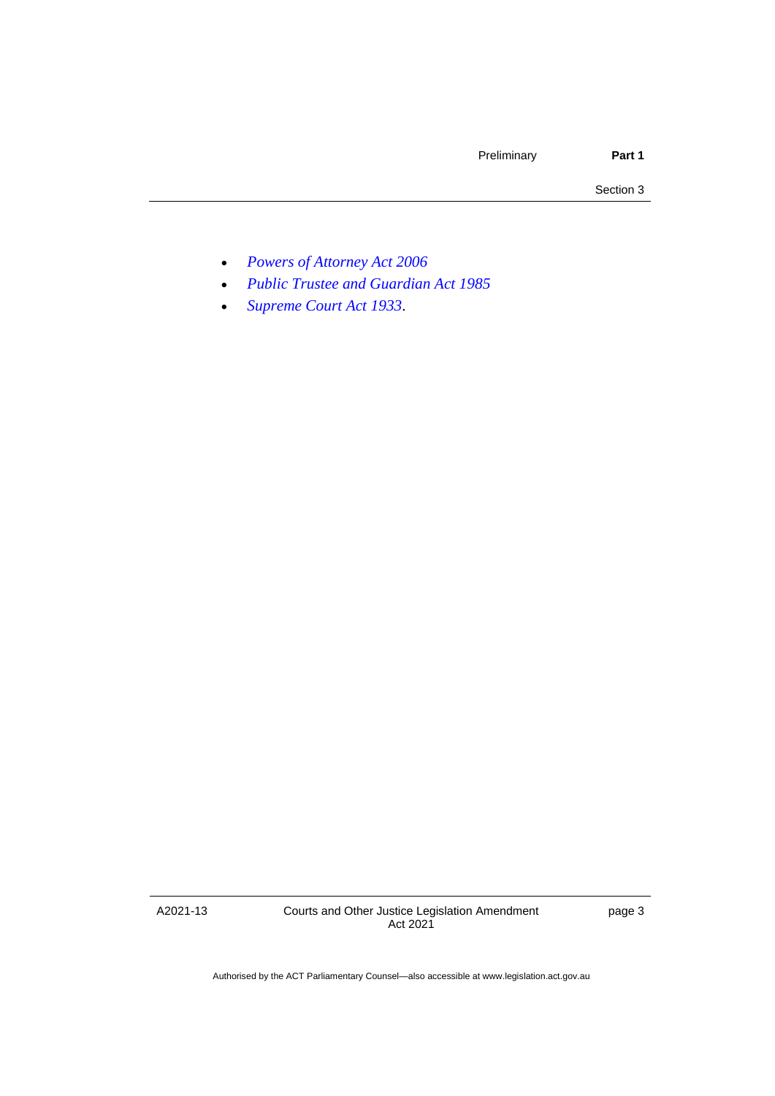- *[Powers of Attorney Act 2006](http://www.legislation.act.gov.au/a/2006-50)*
- *[Public Trustee and Guardian Act 1985](http://www.legislation.act.gov.au/a/1985-8)*
- *[Supreme Court Act 1933](http://www.legislation.act.gov.au/a/1933-34)*.

A2021-13

Courts and Other Justice Legislation Amendment Act 2021

page 3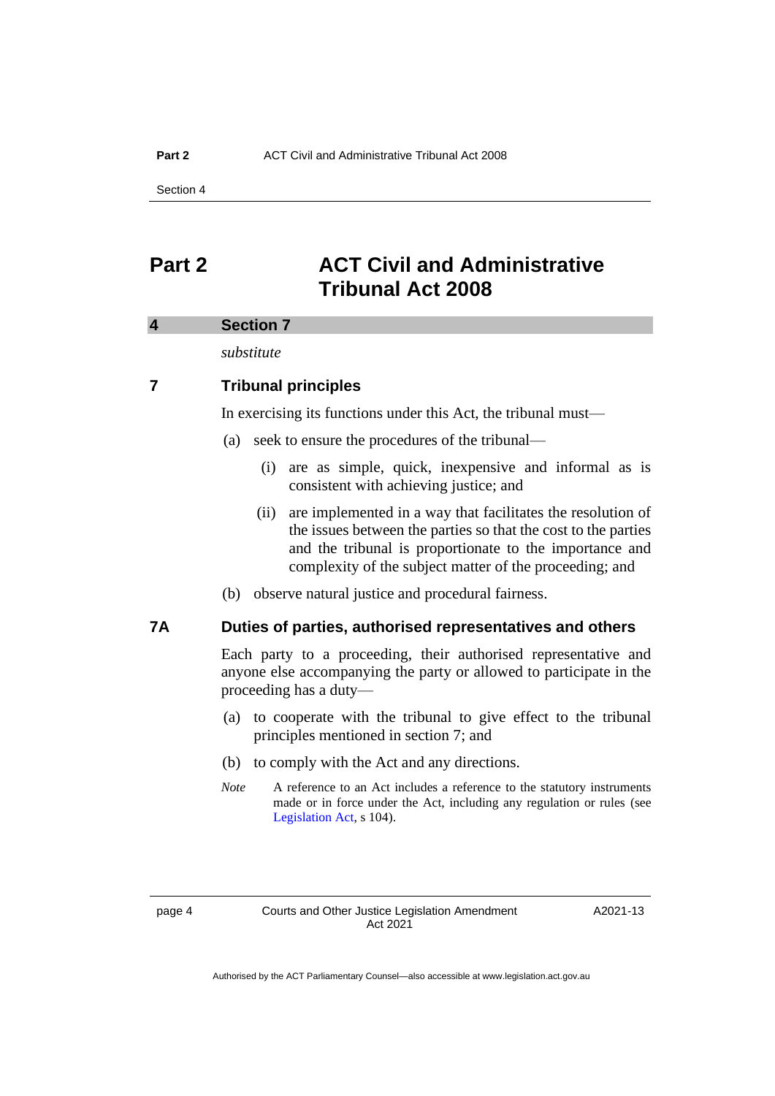# <span id="page-7-0"></span>**Part 2 ACT Civil and Administrative Tribunal Act 2008**

#### <span id="page-7-1"></span>**4 Section 7**

*substitute*

# **7 Tribunal principles**

In exercising its functions under this Act, the tribunal must—

- (a) seek to ensure the procedures of the tribunal—
	- (i) are as simple, quick, inexpensive and informal as is consistent with achieving justice; and
	- (ii) are implemented in a way that facilitates the resolution of the issues between the parties so that the cost to the parties and the tribunal is proportionate to the importance and complexity of the subject matter of the proceeding; and
- (b) observe natural justice and procedural fairness.

### **7A Duties of parties, authorised representatives and others**

Each party to a proceeding, their authorised representative and anyone else accompanying the party or allowed to participate in the proceeding has a duty—

- (a) to cooperate with the tribunal to give effect to the tribunal principles mentioned in section 7; and
- (b) to comply with the Act and any directions.
- *Note* A reference to an Act includes a reference to the statutory instruments made or in force under the Act, including any regulation or rules (see [Legislation Act,](http://www.legislation.act.gov.au/a/2001-14) s 104).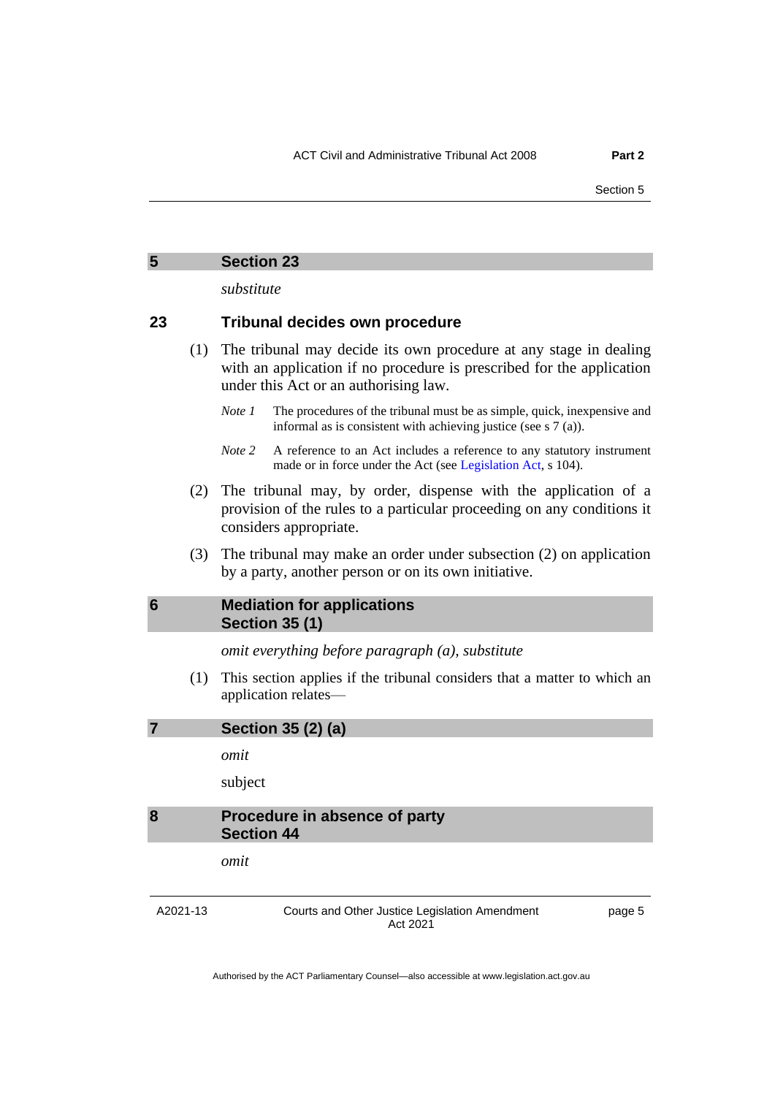*substitute*

### <span id="page-8-0"></span>**23 Tribunal decides own procedure**

- (1) The tribunal may decide its own procedure at any stage in dealing with an application if no procedure is prescribed for the application under this Act or an authorising law.
	- *Note 1* The procedures of the tribunal must be as simple, quick, inexpensive and informal as is consistent with achieving justice (see s 7 (a)).
	- *Note 2* A reference to an Act includes a reference to any statutory instrument made or in force under the Act (see [Legislation Act,](http://www.legislation.act.gov.au/a/2001-14) s 104).
- (2) The tribunal may, by order, dispense with the application of a provision of the rules to a particular proceeding on any conditions it considers appropriate.
- (3) The tribunal may make an order under subsection (2) on application by a party, another person or on its own initiative.

# <span id="page-8-1"></span>**6 Mediation for applications Section 35 (1)**

*omit everything before paragraph (a), substitute*

(1) This section applies if the tribunal considers that a matter to which an application relates—

#### <span id="page-8-2"></span>**7 Section 35 (2) (a)**

*omit*

subject

# <span id="page-8-3"></span>**8 Procedure in absence of party Section 44**

*omit*

A2021-13

Courts and Other Justice Legislation Amendment Act 2021

page 5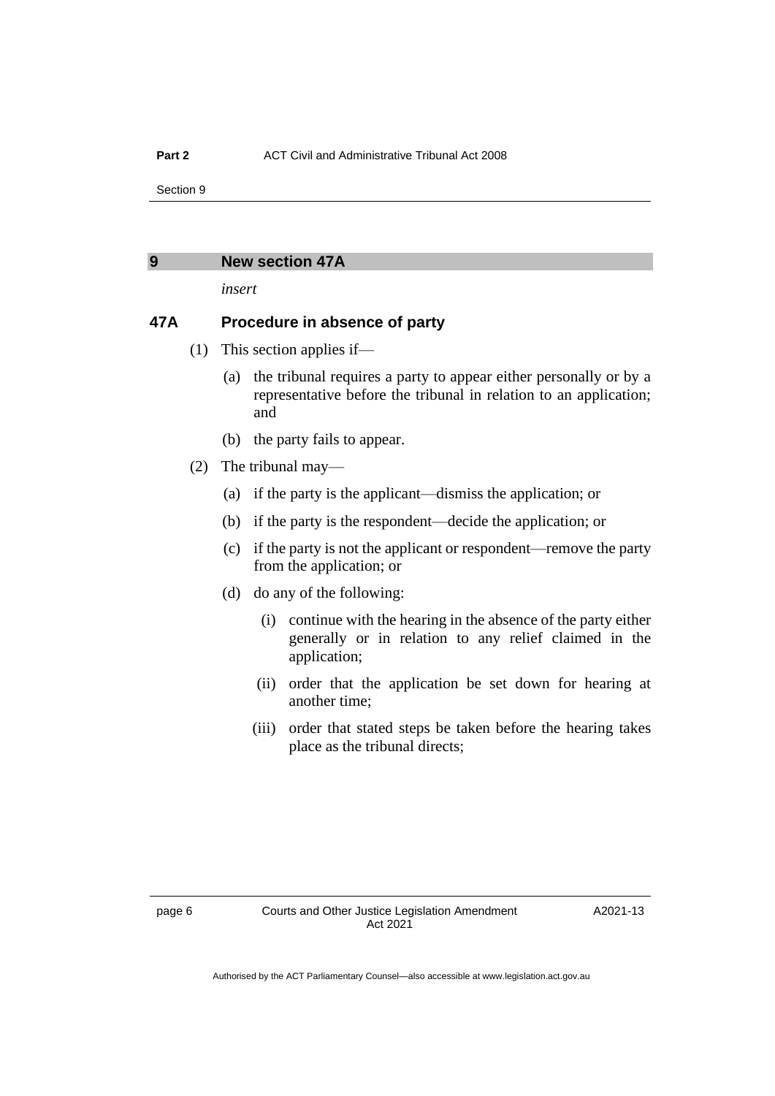#### <span id="page-9-0"></span>**9 New section 47A**

*insert*

### **47A Procedure in absence of party**

- (1) This section applies if—
	- (a) the tribunal requires a party to appear either personally or by a representative before the tribunal in relation to an application; and
	- (b) the party fails to appear.
- (2) The tribunal may—
	- (a) if the party is the applicant—dismiss the application; or
	- (b) if the party is the respondent—decide the application; or
	- (c) if the party is not the applicant or respondent—remove the party from the application; or
	- (d) do any of the following:
		- (i) continue with the hearing in the absence of the party either generally or in relation to any relief claimed in the application;
		- (ii) order that the application be set down for hearing at another time;
		- (iii) order that stated steps be taken before the hearing takes place as the tribunal directs;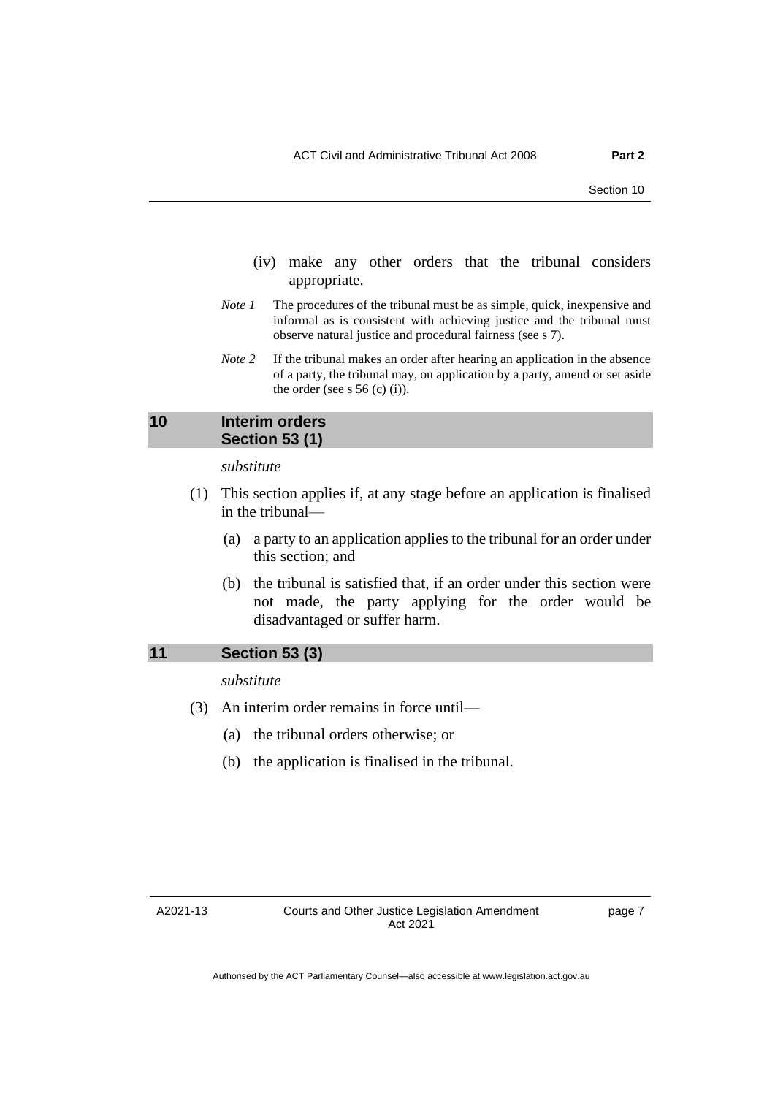- (iv) make any other orders that the tribunal considers appropriate.
- *Note 1* The procedures of the tribunal must be as simple, quick, inexpensive and informal as is consistent with achieving justice and the tribunal must observe natural justice and procedural fairness (see s 7).
- *Note* 2 If the tribunal makes an order after hearing an application in the absence of a party, the tribunal may, on application by a party, amend or set aside the order (see s  $56$  (c) (i)).

# <span id="page-10-0"></span>**10 Interim orders Section 53 (1)**

#### *substitute*

- (1) This section applies if, at any stage before an application is finalised in the tribunal—
	- (a) a party to an application applies to the tribunal for an order under this section; and
	- (b) the tribunal is satisfied that, if an order under this section were not made, the party applying for the order would be disadvantaged or suffer harm.

#### <span id="page-10-1"></span>**11 Section 53 (3)**

*substitute*

- (3) An interim order remains in force until—
	- (a) the tribunal orders otherwise; or
	- (b) the application is finalised in the tribunal.

A2021-13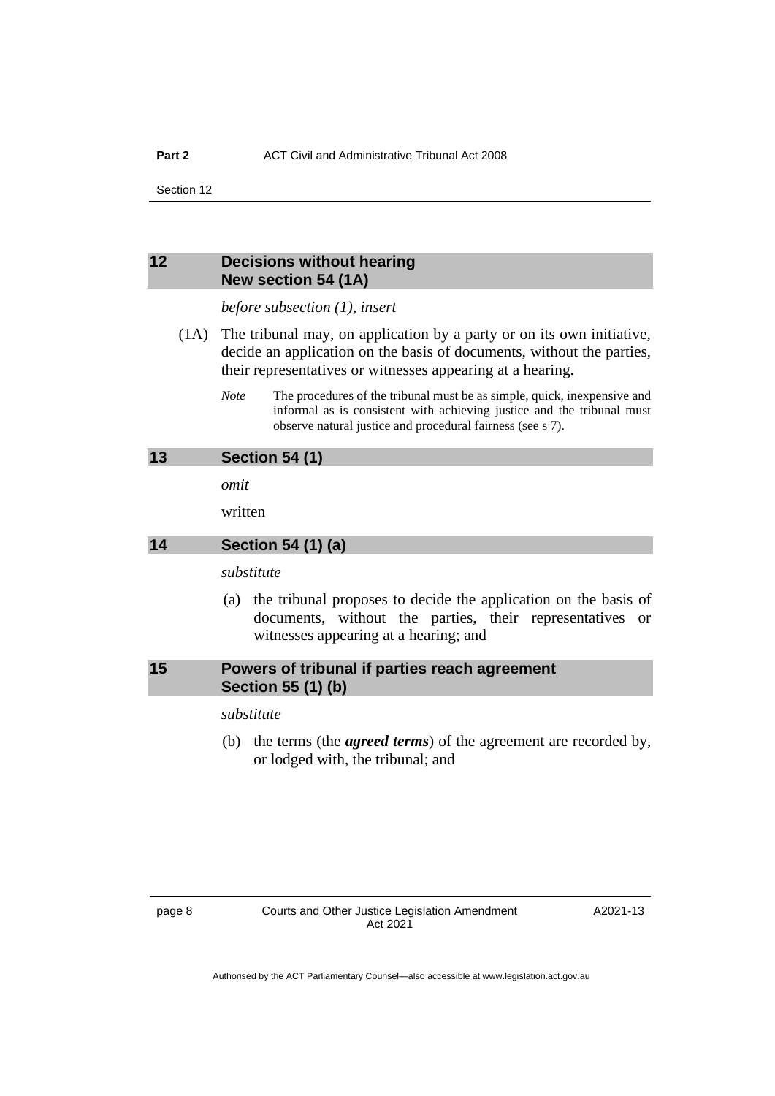### <span id="page-11-0"></span>**12 Decisions without hearing New section 54 (1A)**

*before subsection (1), insert*

- (1A) The tribunal may, on application by a party or on its own initiative, decide an application on the basis of documents, without the parties, their representatives or witnesses appearing at a hearing.
	- *Note* The procedures of the tribunal must be as simple, quick, inexpensive and informal as is consistent with achieving justice and the tribunal must observe natural justice and procedural fairness (see s 7).

#### <span id="page-11-1"></span>**13 Section 54 (1)**

*omit*

written

#### <span id="page-11-2"></span>**14 Section 54 (1) (a)**

*substitute*

(a) the tribunal proposes to decide the application on the basis of documents, without the parties, their representatives or witnesses appearing at a hearing; and

# <span id="page-11-3"></span>**15 Powers of tribunal if parties reach agreement Section 55 (1) (b)**

#### *substitute*

(b) the terms (the *agreed terms*) of the agreement are recorded by, or lodged with, the tribunal; and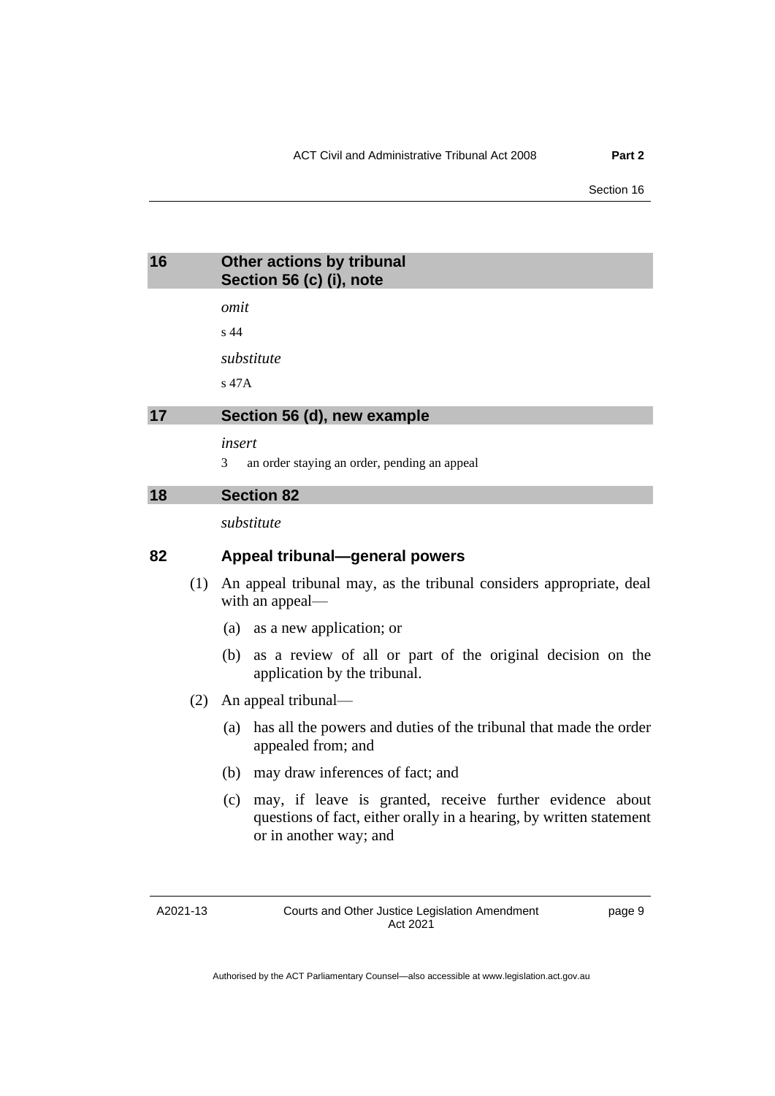<span id="page-12-0"></span>

| 16 | <b>Other actions by tribunal</b> |
|----|----------------------------------|
|    | Section 56 (c) (i), note         |

*omit*

s 44

*substitute*

s 47A

# <span id="page-12-1"></span>**17 Section 56 (d), new example**

*insert*

3 an order staying an order, pending an appeal

#### <span id="page-12-2"></span>**18 Section 82**

*substitute*

### **82 Appeal tribunal—general powers**

- (1) An appeal tribunal may, as the tribunal considers appropriate, deal with an appeal—
	- (a) as a new application; or
	- (b) as a review of all or part of the original decision on the application by the tribunal.
- (2) An appeal tribunal—
	- (a) has all the powers and duties of the tribunal that made the order appealed from; and
	- (b) may draw inferences of fact; and
	- (c) may, if leave is granted, receive further evidence about questions of fact, either orally in a hearing, by written statement or in another way; and

A2021-13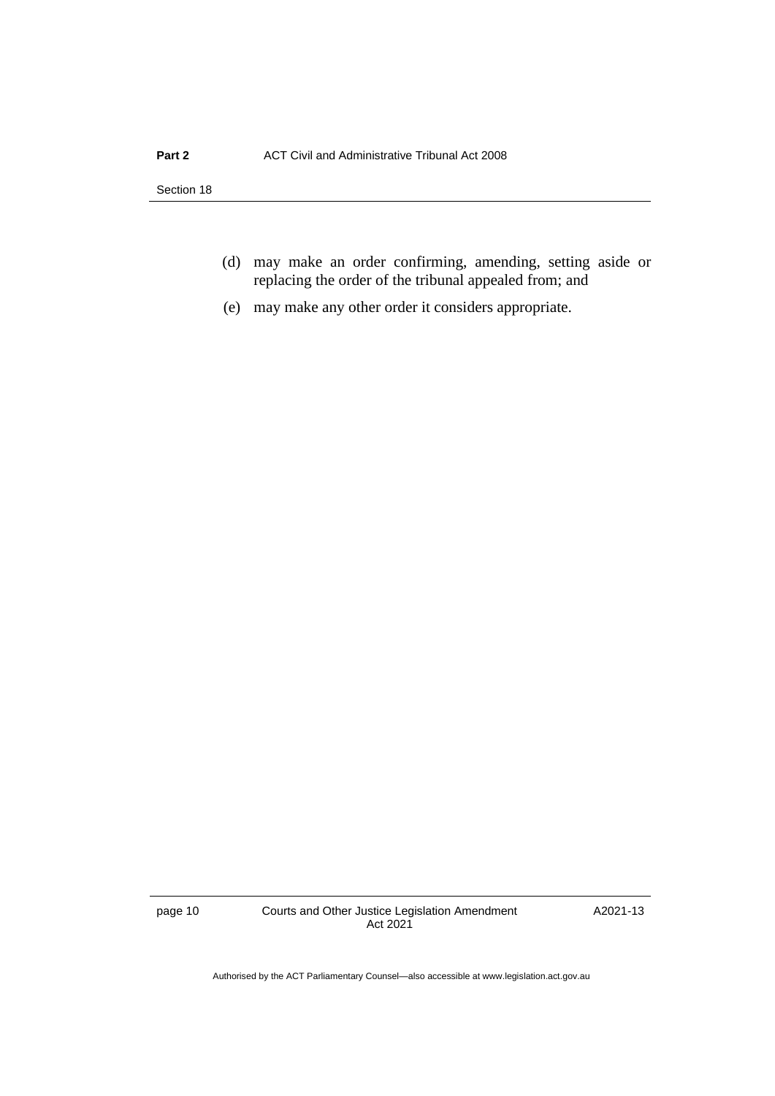- (d) may make an order confirming, amending, setting aside or replacing the order of the tribunal appealed from; and
- (e) may make any other order it considers appropriate.

page 10 Courts and Other Justice Legislation Amendment Act 2021

A2021-13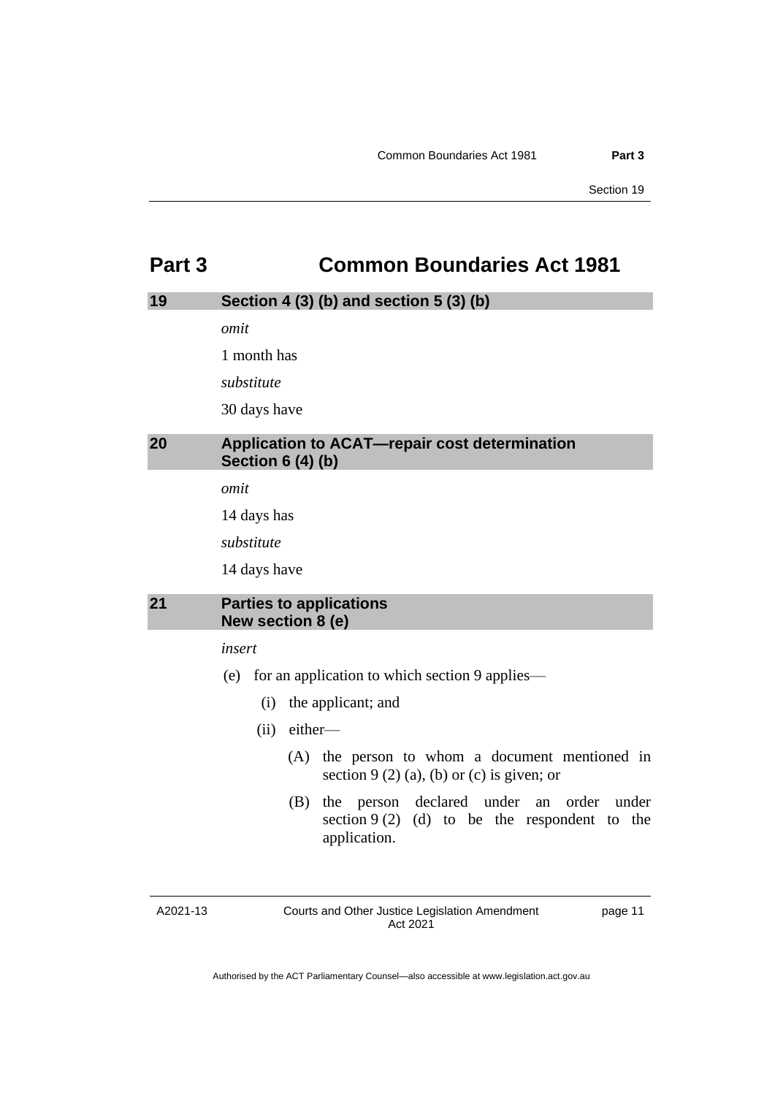# <span id="page-14-0"></span>**Part 3 Common Boundaries Act 1981**

# <span id="page-14-1"></span>**19 Section 4 (3) (b) and section 5 (3) (b)**

*omit*

1 month has

*substitute*

30 days have

# <span id="page-14-2"></span>**20 Application to ACAT—repair cost determination Section 6 (4) (b)**

*omit*

14 days has

*substitute*

14 days have

### <span id="page-14-3"></span>**21 Parties to applications New section 8 (e)**

#### *insert*

- (e) for an application to which section 9 applies—
	- (i) the applicant; and
	- (ii) either—
		- (A) the person to whom a document mentioned in section  $9(2)(a)$ , (b) or (c) is given; or
		- (B) the person declared under an order under section  $9(2)$  (d) to be the respondent to the application.

A2021-13

Courts and Other Justice Legislation Amendment Act 2021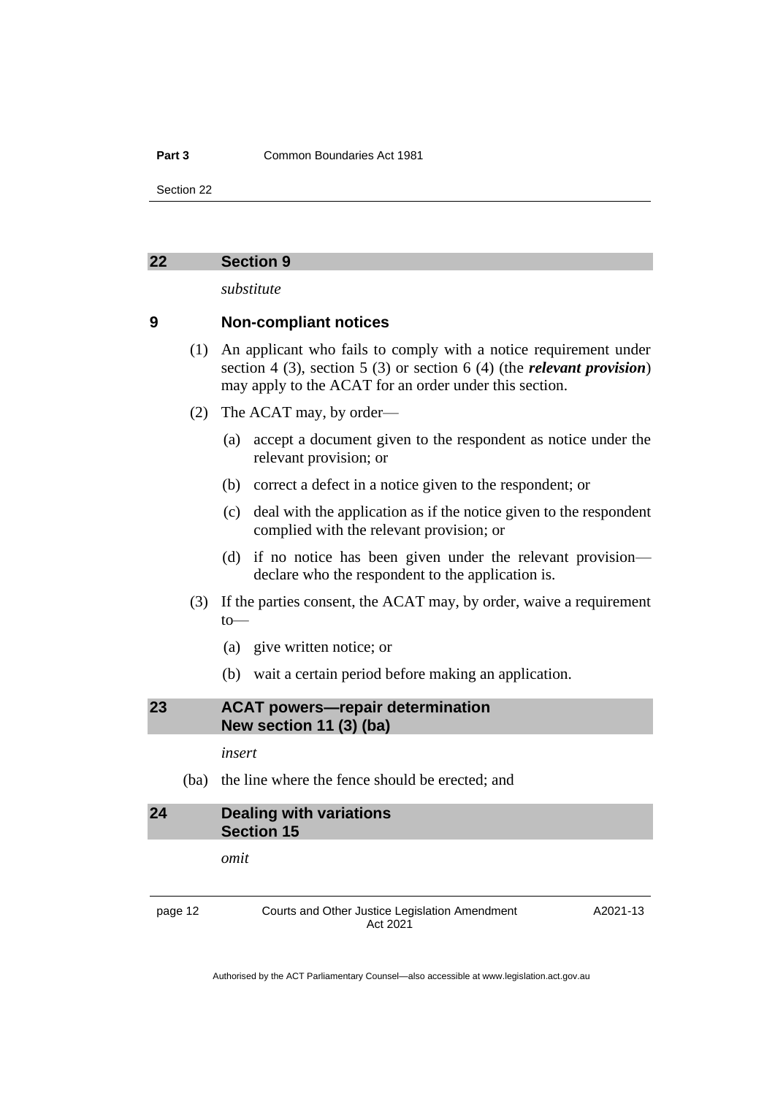#### **Part 3** Common Boundaries Act 1981

Section 22

#### <span id="page-15-0"></span>**22 Section 9**

*substitute*

### **9 Non-compliant notices**

- (1) An applicant who fails to comply with a notice requirement under section 4 (3), section 5 (3) or section 6 (4) (the *relevant provision*) may apply to the ACAT for an order under this section.
- (2) The ACAT may, by order—
	- (a) accept a document given to the respondent as notice under the relevant provision; or
	- (b) correct a defect in a notice given to the respondent; or
	- (c) deal with the application as if the notice given to the respondent complied with the relevant provision; or
	- (d) if no notice has been given under the relevant provision declare who the respondent to the application is.
- (3) If the parties consent, the ACAT may, by order, waive a requirement to—
	- (a) give written notice; or
	- (b) wait a certain period before making an application.

<span id="page-15-1"></span>**23 ACAT powers—repair determination New section 11 (3) (ba)**

*insert*

(ba) the line where the fence should be erected; and

<span id="page-15-2"></span>**24 Dealing with variations Section 15**

*omit*

page 12 Courts and Other Justice Legislation Amendment Act 2021

A2021-13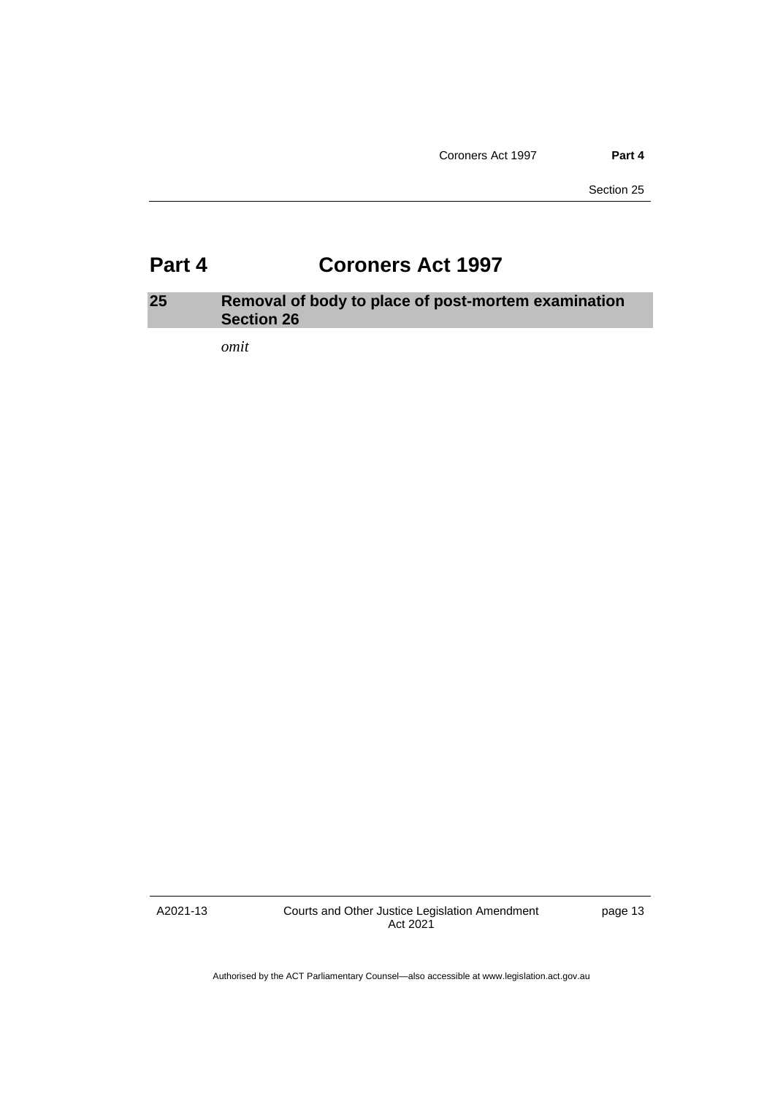# <span id="page-16-0"></span>**Part 4 Coroners Act 1997**

# <span id="page-16-1"></span>**25 Removal of body to place of post-mortem examination Section 26**

*omit*

A2021-13

Courts and Other Justice Legislation Amendment Act 2021

page 13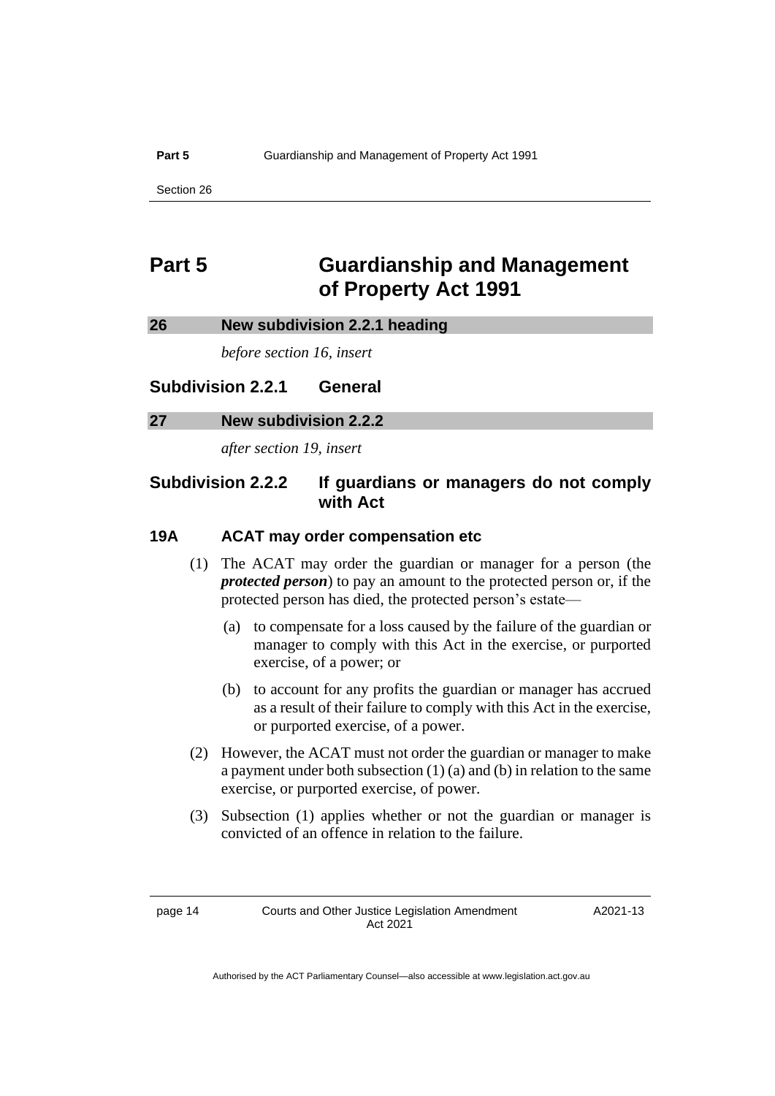#### **Part 5 Guardianship and Management of Property Act 1991**

Section 26

# <span id="page-17-0"></span>**Part 5 Guardianship and Management of Property Act 1991**

#### <span id="page-17-1"></span>**26 New subdivision 2.2.1 heading**

*before section 16, insert*

# **Subdivision 2.2.1 General**

#### <span id="page-17-2"></span>**27 New subdivision 2.2.2**

*after section 19, insert*

# **Subdivision 2.2.2 If guardians or managers do not comply with Act**

# **19A ACAT may order compensation etc**

- (1) The ACAT may order the guardian or manager for a person (the *protected person*) to pay an amount to the protected person or, if the protected person has died, the protected person's estate—
	- (a) to compensate for a loss caused by the failure of the guardian or manager to comply with this Act in the exercise, or purported exercise, of a power; or
	- (b) to account for any profits the guardian or manager has accrued as a result of their failure to comply with this Act in the exercise, or purported exercise, of a power.
- (2) However, the ACAT must not order the guardian or manager to make a payment under both subsection (1) (a) and (b) in relation to the same exercise, or purported exercise, of power.
- (3) Subsection (1) applies whether or not the guardian or manager is convicted of an offence in relation to the failure.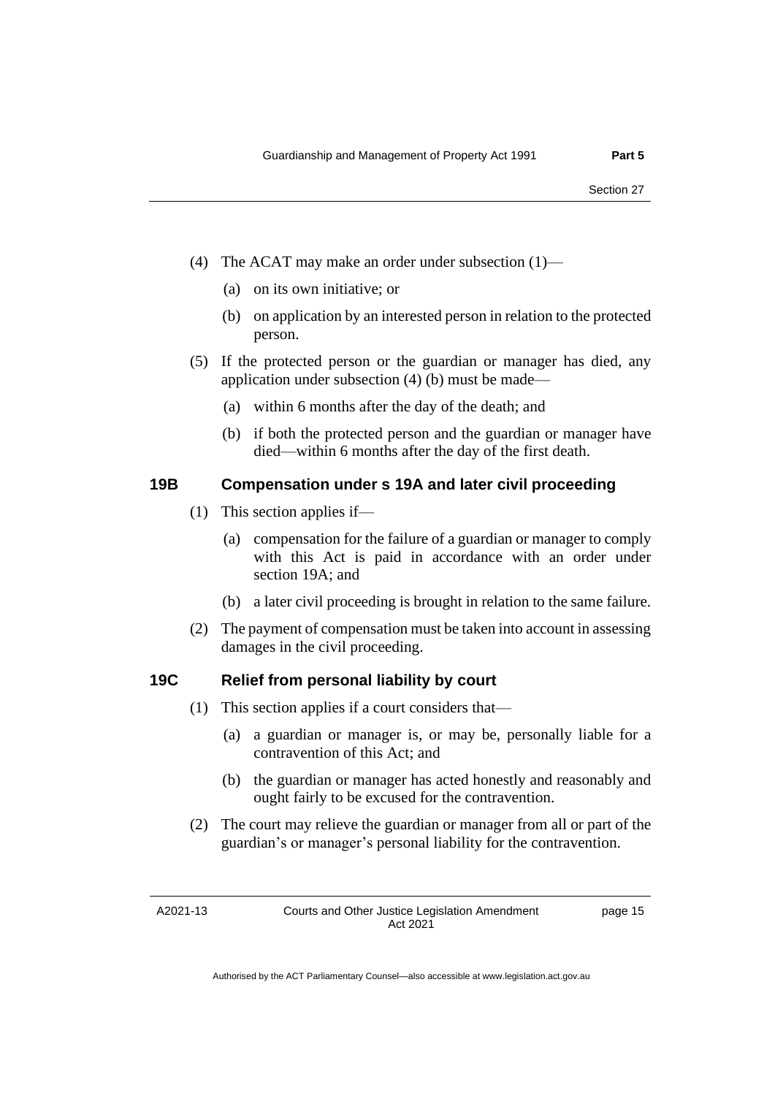- (4) The ACAT may make an order under subsection (1)—
	- (a) on its own initiative; or
	- (b) on application by an interested person in relation to the protected person.
- (5) If the protected person or the guardian or manager has died, any application under subsection (4) (b) must be made—
	- (a) within 6 months after the day of the death; and
	- (b) if both the protected person and the guardian or manager have died—within 6 months after the day of the first death.

# **19B Compensation under s 19A and later civil proceeding**

- (1) This section applies if—
	- (a) compensation for the failure of a guardian or manager to comply with this Act is paid in accordance with an order under section 19A; and
	- (b) a later civil proceeding is brought in relation to the same failure.
- (2) The payment of compensation must be taken into account in assessing damages in the civil proceeding.

# **19C Relief from personal liability by court**

- (1) This section applies if a court considers that—
	- (a) a guardian or manager is, or may be, personally liable for a contravention of this Act; and
	- (b) the guardian or manager has acted honestly and reasonably and ought fairly to be excused for the contravention.
- (2) The court may relieve the guardian or manager from all or part of the guardian's or manager's personal liability for the contravention.

A2021-13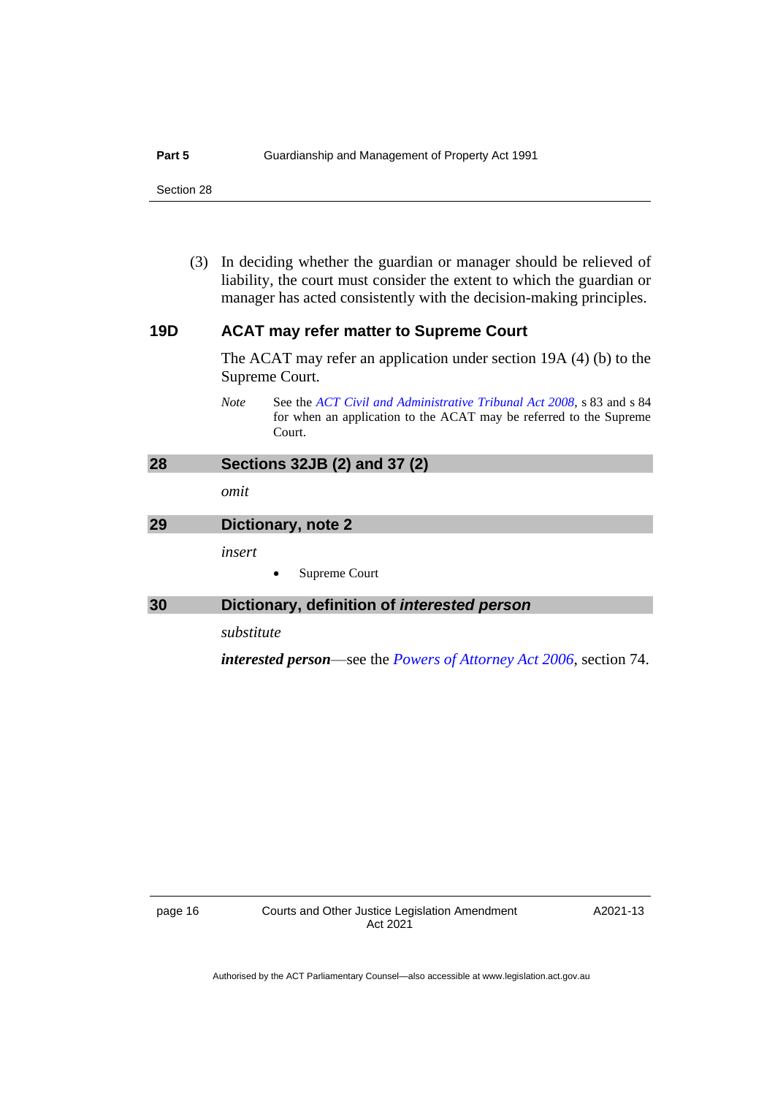(3) In deciding whether the guardian or manager should be relieved of liability, the court must consider the extent to which the guardian or manager has acted consistently with the decision-making principles.

# **19D ACAT may refer matter to Supreme Court**

The ACAT may refer an application under section 19A (4) (b) to the Supreme Court.

*Note* See the *[ACT Civil and Administrative Tribunal Act](http://www.legislation.act.gov.au/a/2008-35) 2008*, s 83 and s 84 for when an application to the ACAT may be referred to the Supreme Court.

# <span id="page-19-0"></span>**28 Sections 32JB (2) and 37 (2)**

*omit*

# <span id="page-19-1"></span>**29 Dictionary, note 2**

*insert*

• Supreme Court

# <span id="page-19-2"></span>**30 Dictionary, definition of** *interested person*

*substitute*

*interested person*—see the *[Powers of Attorney Act 2006](http://www.legislation.act.gov.au/a/2006-50)*, section 74.

A2021-13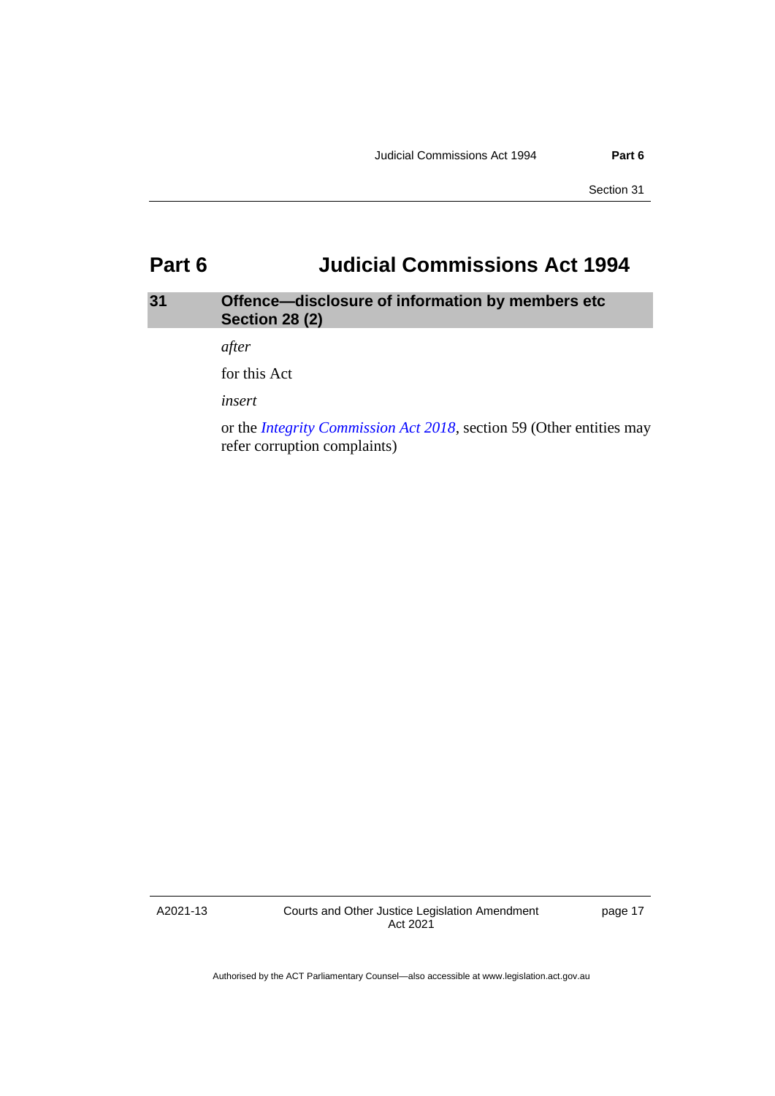# <span id="page-20-0"></span>**Part 6 Judicial Commissions Act 1994**

# <span id="page-20-1"></span>**31 Offence—disclosure of information by members etc Section 28 (2)**

*after*

for this Act

*insert*

or the *[Integrity Commission Act 2018](http://www.legislation.act.gov.au/a/2018-52)*, section 59 (Other entities may refer corruption complaints)

A2021-13

Courts and Other Justice Legislation Amendment Act 2021

page 17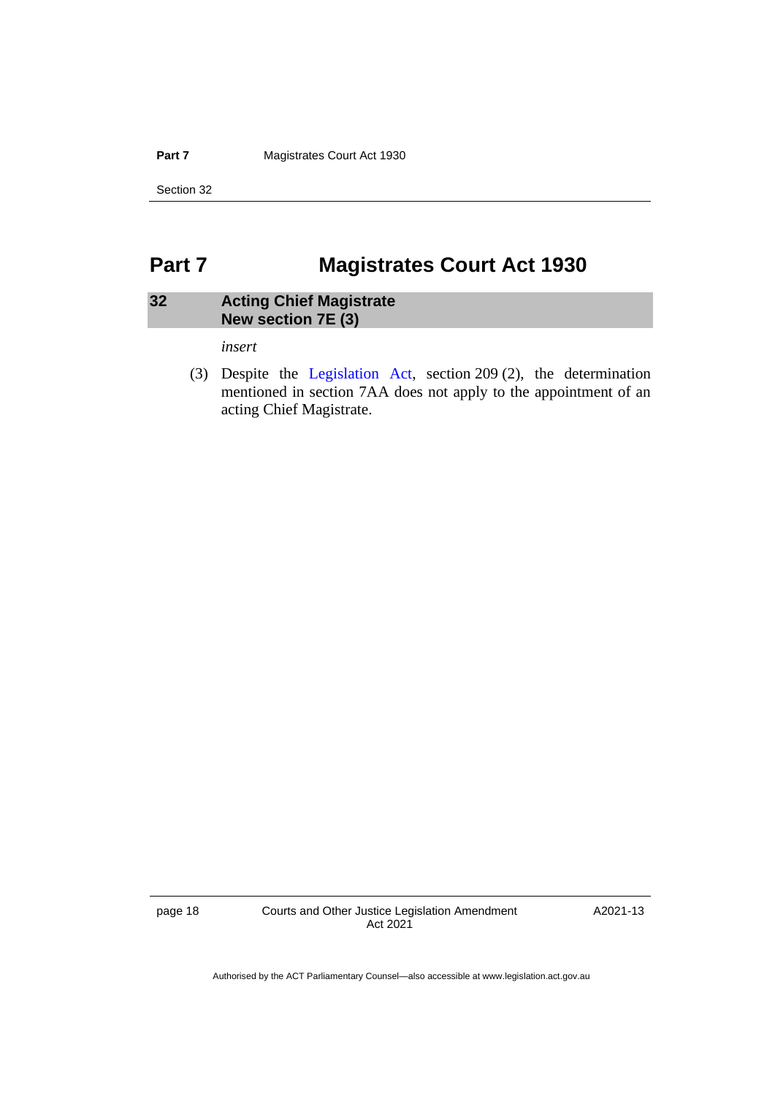**Part 7 Magistrates Court Act 1930** 

Section 32

# <span id="page-21-0"></span>**Part 7 Magistrates Court Act 1930**

# <span id="page-21-1"></span>**32 Acting Chief Magistrate New section 7E (3)**

*insert*

(3) Despite the [Legislation Act,](http://www.legislation.act.gov.au/a/2001-14) section 209 (2), the determination mentioned in section 7AA does not apply to the appointment of an acting Chief Magistrate.

page 18 Courts and Other Justice Legislation Amendment Act 2021

A2021-13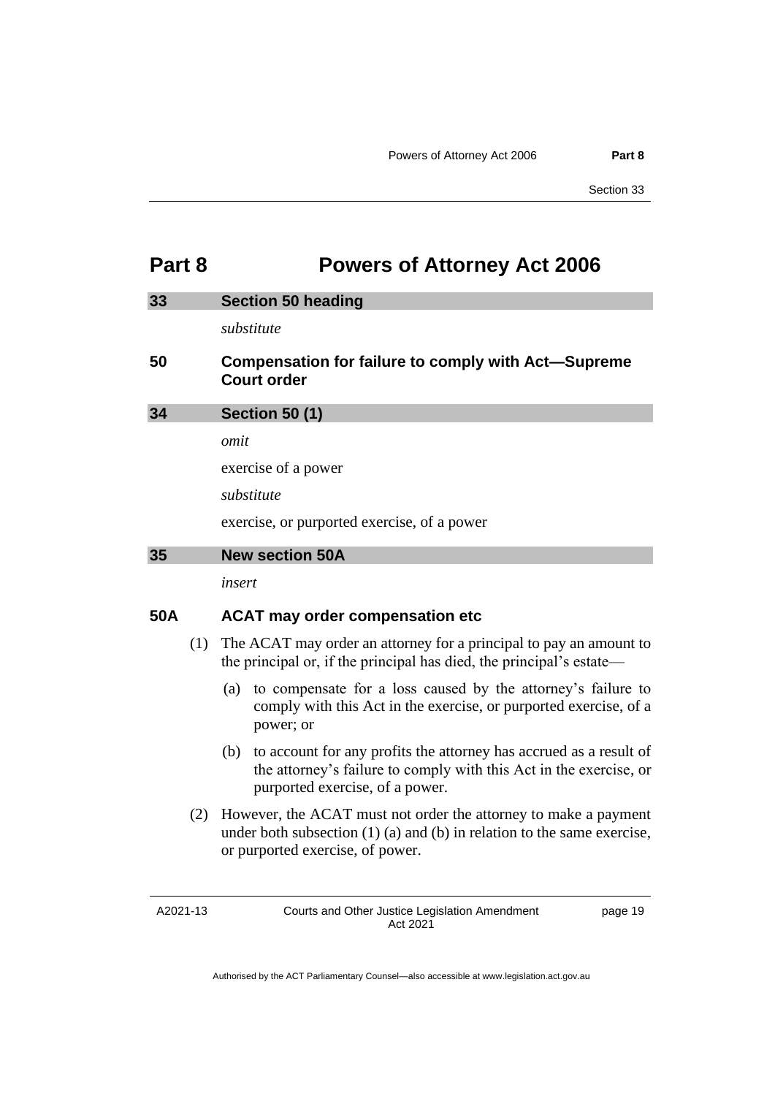# <span id="page-22-0"></span>**Part 8 Powers of Attorney Act 2006**

<span id="page-22-2"></span><span id="page-22-1"></span>

| 33 | <b>Section 50 heading</b>                                                        |
|----|----------------------------------------------------------------------------------|
|    | substitute                                                                       |
| 50 | <b>Compensation for failure to comply with Act-Supreme</b><br><b>Court order</b> |
| 34 | <b>Section 50 (1)</b>                                                            |
|    | omit                                                                             |
|    | exercise of a power                                                              |
|    | substitute                                                                       |
|    | exercise, or purported exercise, of a power                                      |
| 35 | <b>New section 50A</b>                                                           |
|    | insert                                                                           |

# <span id="page-22-3"></span>**50A ACAT may order compensation etc**

- (1) The ACAT may order an attorney for a principal to pay an amount to the principal or, if the principal has died, the principal's estate—
	- (a) to compensate for a loss caused by the attorney's failure to comply with this Act in the exercise, or purported exercise, of a power; or
	- (b) to account for any profits the attorney has accrued as a result of the attorney's failure to comply with this Act in the exercise, or purported exercise, of a power.
- (2) However, the ACAT must not order the attorney to make a payment under both subsection (1) (a) and (b) in relation to the same exercise, or purported exercise, of power.

A2021-13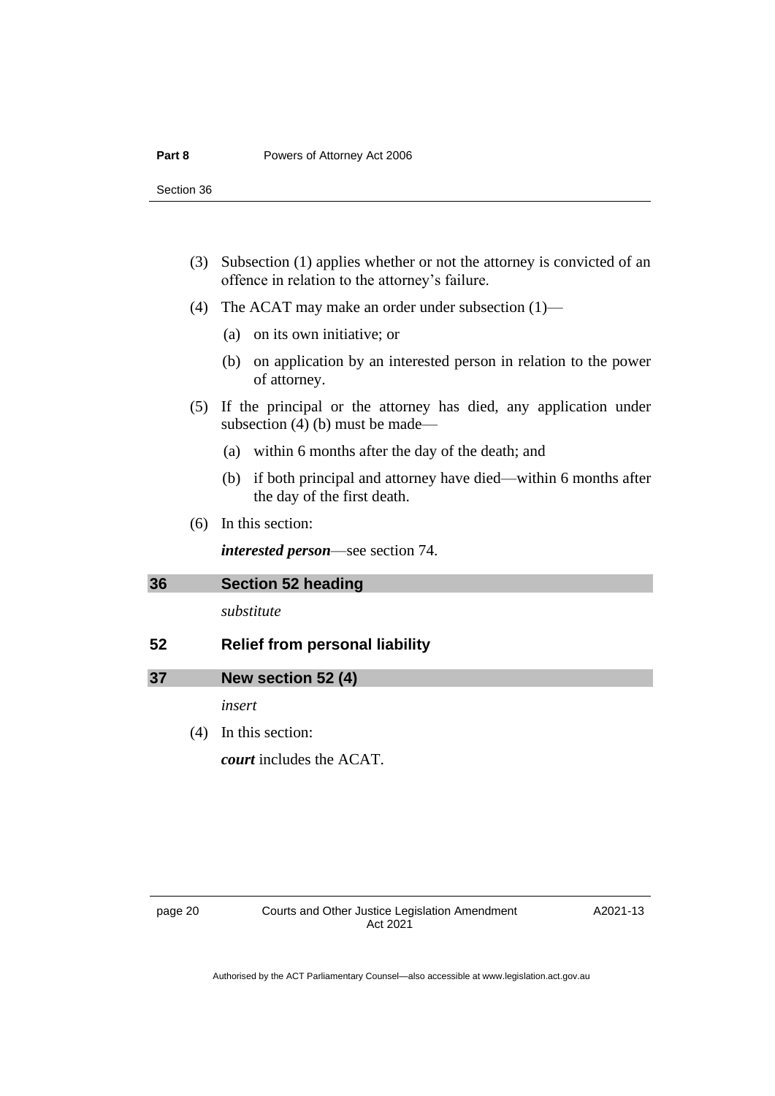- (3) Subsection (1) applies whether or not the attorney is convicted of an offence in relation to the attorney's failure.
- (4) The ACAT may make an order under subsection (1)—
	- (a) on its own initiative; or
	- (b) on application by an interested person in relation to the power of attorney.
- (5) If the principal or the attorney has died, any application under subsection (4) (b) must be made—
	- (a) within 6 months after the day of the death; and
	- (b) if both principal and attorney have died—within 6 months after the day of the first death.
- (6) In this section:

*interested person*—see section 74.

<span id="page-23-0"></span>

| 36  | <b>Section 52 heading</b>             |  |  |
|-----|---------------------------------------|--|--|
|     | substitute                            |  |  |
| -52 | <b>Relief from personal liability</b> |  |  |

### <span id="page-23-1"></span>**37 New section 52 (4)**

*insert*

(4) In this section: *court* includes the ACAT.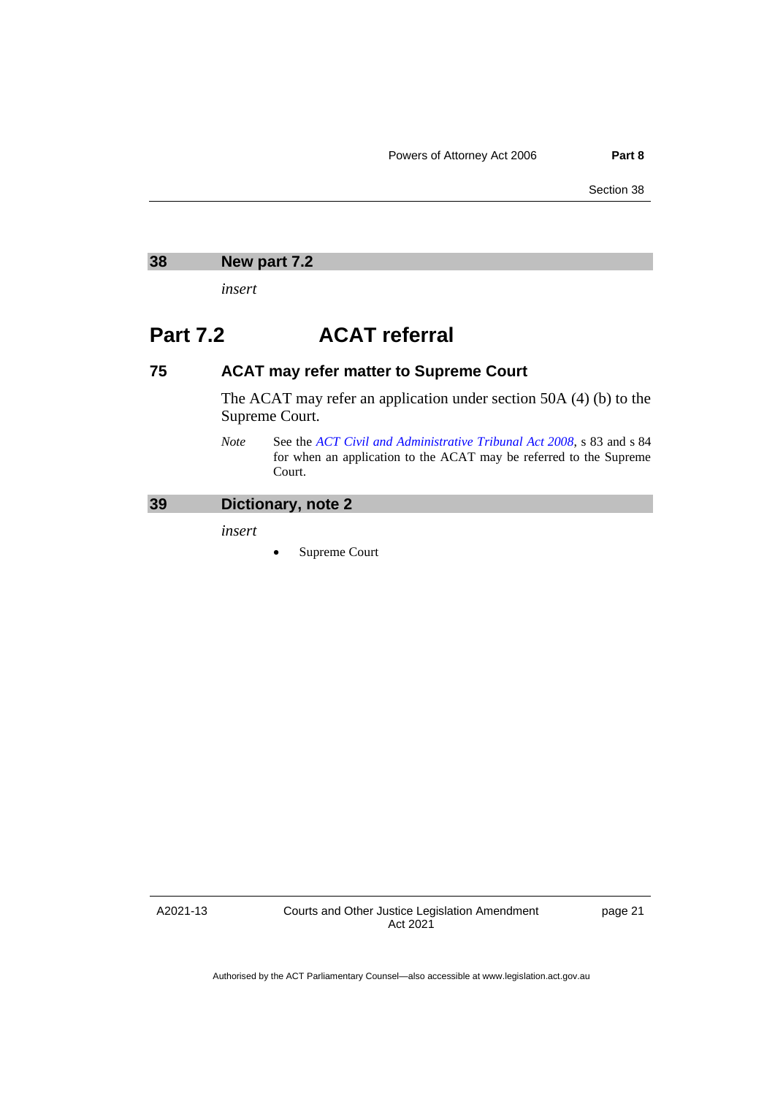<span id="page-24-0"></span>

| 38 | New part 7.2 |  |
|----|--------------|--|
|    |              |  |

*insert*

# **Part 7.2 ACAT referral**

# **75 ACAT may refer matter to Supreme Court**

The ACAT may refer an application under section 50A (4) (b) to the Supreme Court.

*Note* See the *[ACT Civil and Administrative Tribunal Act](http://www.legislation.act.gov.au/a/2008-35) 2008*, s 83 and s 84 for when an application to the ACAT may be referred to the Supreme Court.

# <span id="page-24-1"></span>**39 Dictionary, note 2**

*insert*

Supreme Court

A2021-13

Courts and Other Justice Legislation Amendment Act 2021

page 21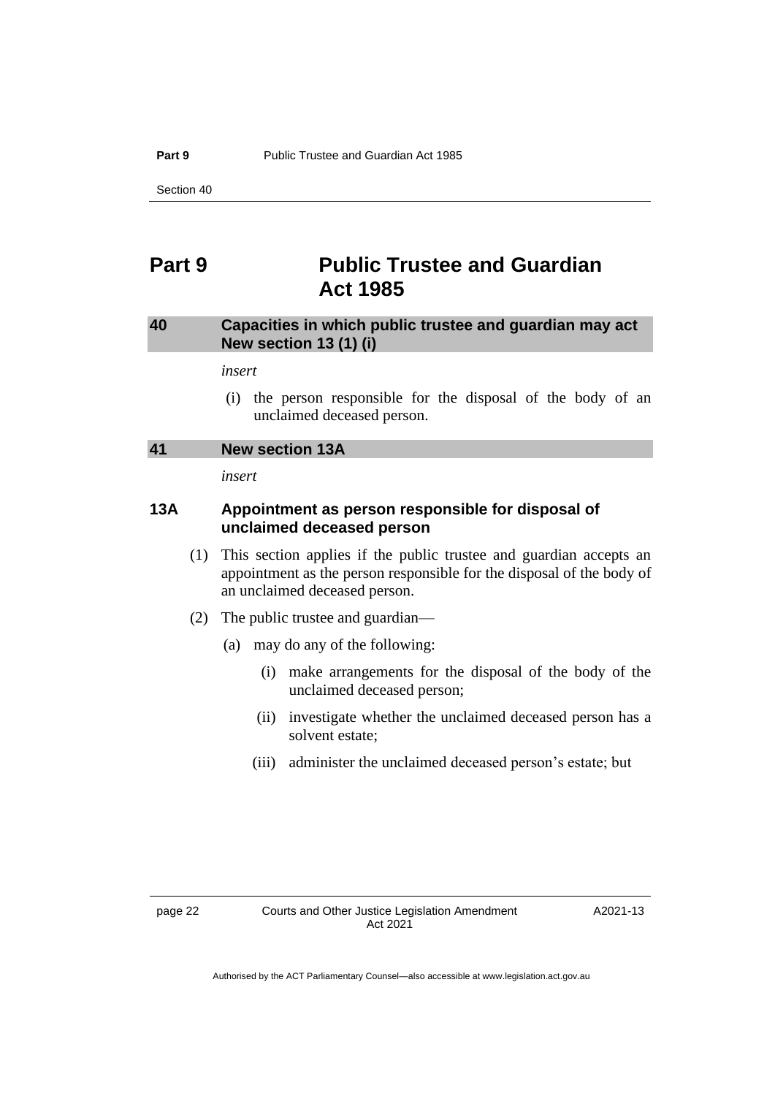# <span id="page-25-0"></span>**Part 9 Public Trustee and Guardian Act 1985**

# <span id="page-25-1"></span>**40 Capacities in which public trustee and guardian may act New section 13 (1) (i)**

*insert*

(i) the person responsible for the disposal of the body of an unclaimed deceased person.

<span id="page-25-2"></span>

*insert*

# **13A Appointment as person responsible for disposal of unclaimed deceased person**

- (1) This section applies if the public trustee and guardian accepts an appointment as the person responsible for the disposal of the body of an unclaimed deceased person.
- (2) The public trustee and guardian—
	- (a) may do any of the following:
		- (i) make arrangements for the disposal of the body of the unclaimed deceased person;
		- (ii) investigate whether the unclaimed deceased person has a solvent estate;
		- (iii) administer the unclaimed deceased person's estate; but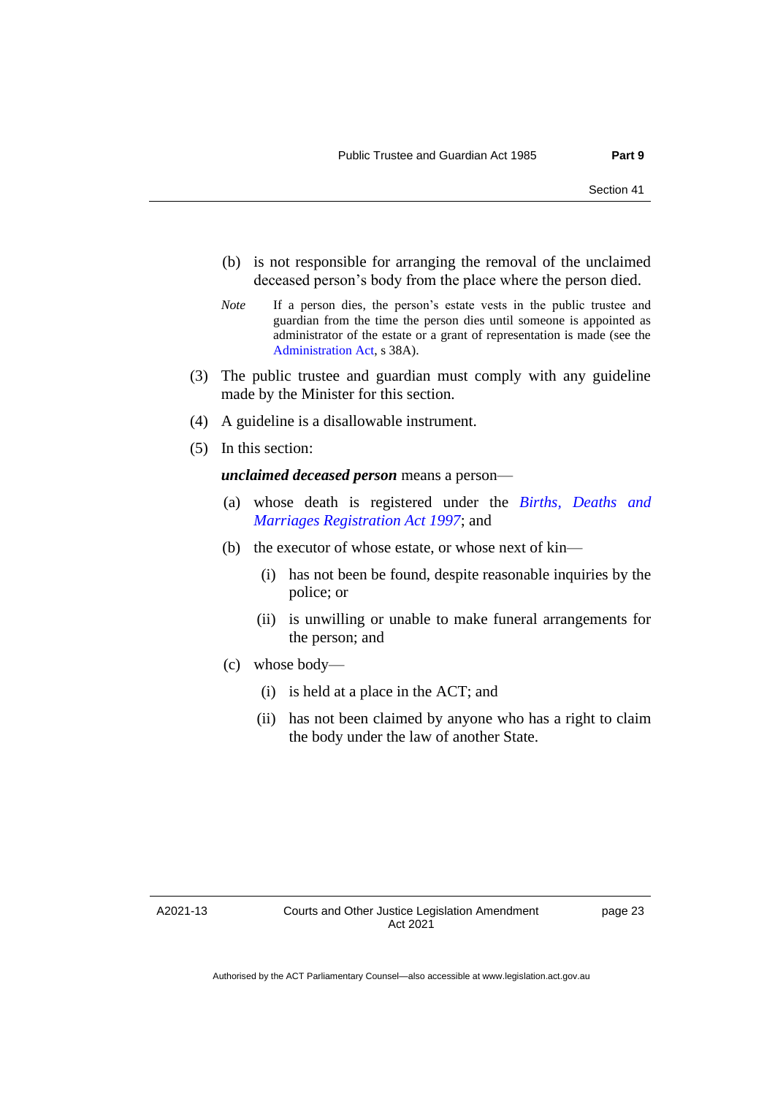- (b) is not responsible for arranging the removal of the unclaimed deceased person's body from the place where the person died.
- *Note* If a person dies, the person's estate vests in the public trustee and guardian from the time the person dies until someone is appointed as administrator of the estate or a grant of representation is made (see the [Administration Act,](http://www.legislation.act.gov.au/a/1929-18) s 38A).
- (3) The public trustee and guardian must comply with any guideline made by the Minister for this section.
- (4) A guideline is a disallowable instrument.
- (5) In this section:

*unclaimed deceased person* means a person—

- (a) whose death is registered under the *[Births, Deaths and](http://www.legislation.act.gov.au/a/1997-112)  [Marriages Registration Act 1997](http://www.legislation.act.gov.au/a/1997-112)*; and
- (b) the executor of whose estate, or whose next of kin—
	- (i) has not been be found, despite reasonable inquiries by the police; or
	- (ii) is unwilling or unable to make funeral arrangements for the person; and
- (c) whose body—
	- (i) is held at a place in the ACT; and
	- (ii) has not been claimed by anyone who has a right to claim the body under the law of another State.

A2021-13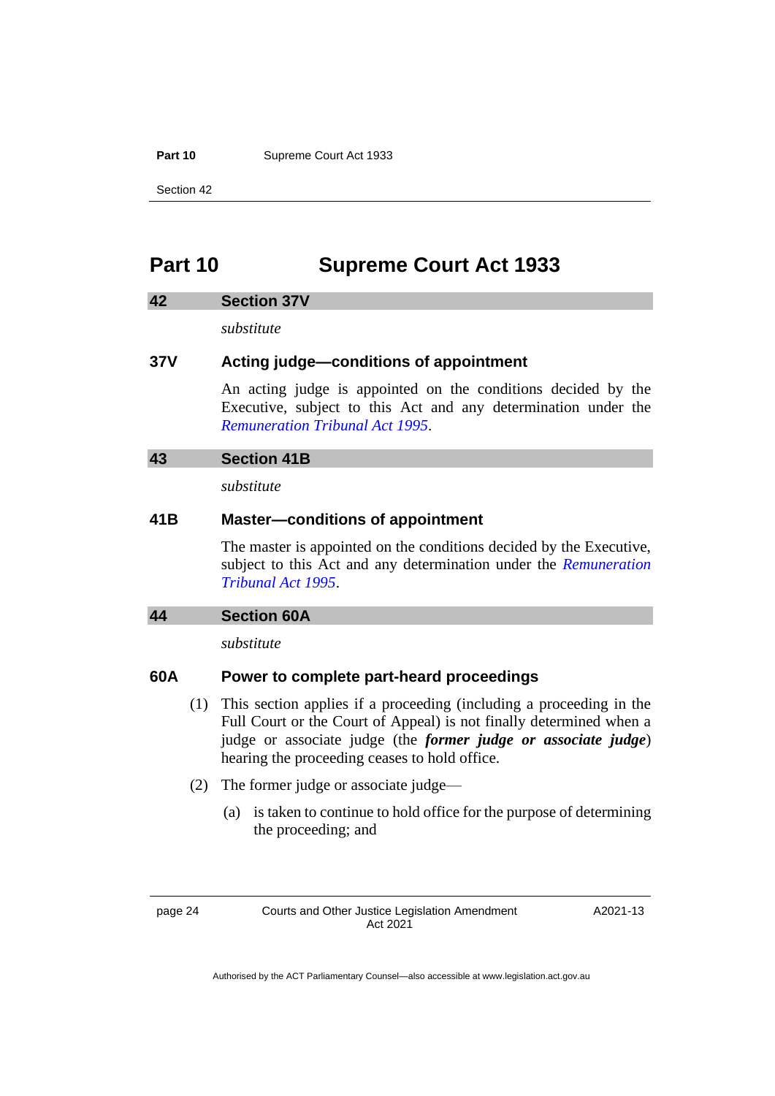Part 10 **Supreme Court Act 1933** 

Section 42

# <span id="page-27-0"></span>**Part 10 Supreme Court Act 1933**

#### <span id="page-27-1"></span>**42 Section 37V**

*substitute*

### **37V Acting judge—conditions of appointment**

An acting judge is appointed on the conditions decided by the Executive, subject to this Act and any determination under the *[Remuneration Tribunal Act 1995](http://www.legislation.act.gov.au/a/1995-55)*.

# <span id="page-27-2"></span>**43 Section 41B**

*substitute*

# **41B Master—conditions of appointment**

The master is appointed on the conditions decided by the Executive, subject to this Act and any determination under the *[Remuneration](http://www.legislation.act.gov.au/a/1995-55)  [Tribunal Act 1995](http://www.legislation.act.gov.au/a/1995-55)*.

#### <span id="page-27-3"></span>**44 Section 60A**

*substitute*

# **60A Power to complete part-heard proceedings**

- (1) This section applies if a proceeding (including a proceeding in the Full Court or the Court of Appeal) is not finally determined when a judge or associate judge (the *former judge or associate judge*) hearing the proceeding ceases to hold office.
- (2) The former judge or associate judge—
	- (a) is taken to continue to hold office for the purpose of determining the proceeding; and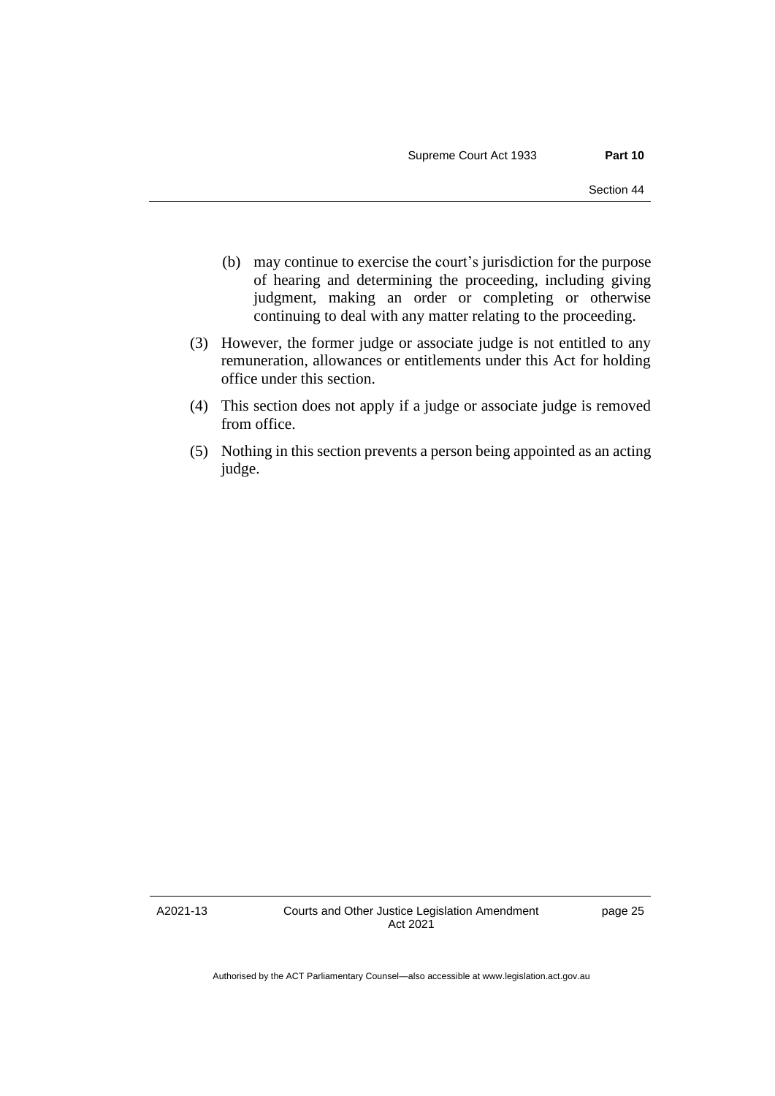- (b) may continue to exercise the court's jurisdiction for the purpose of hearing and determining the proceeding, including giving judgment, making an order or completing or otherwise continuing to deal with any matter relating to the proceeding.
- (3) However, the former judge or associate judge is not entitled to any remuneration, allowances or entitlements under this Act for holding office under this section.
- (4) This section does not apply if a judge or associate judge is removed from office.
- (5) Nothing in this section prevents a person being appointed as an acting judge.

A2021-13

Courts and Other Justice Legislation Amendment Act 2021

page 25